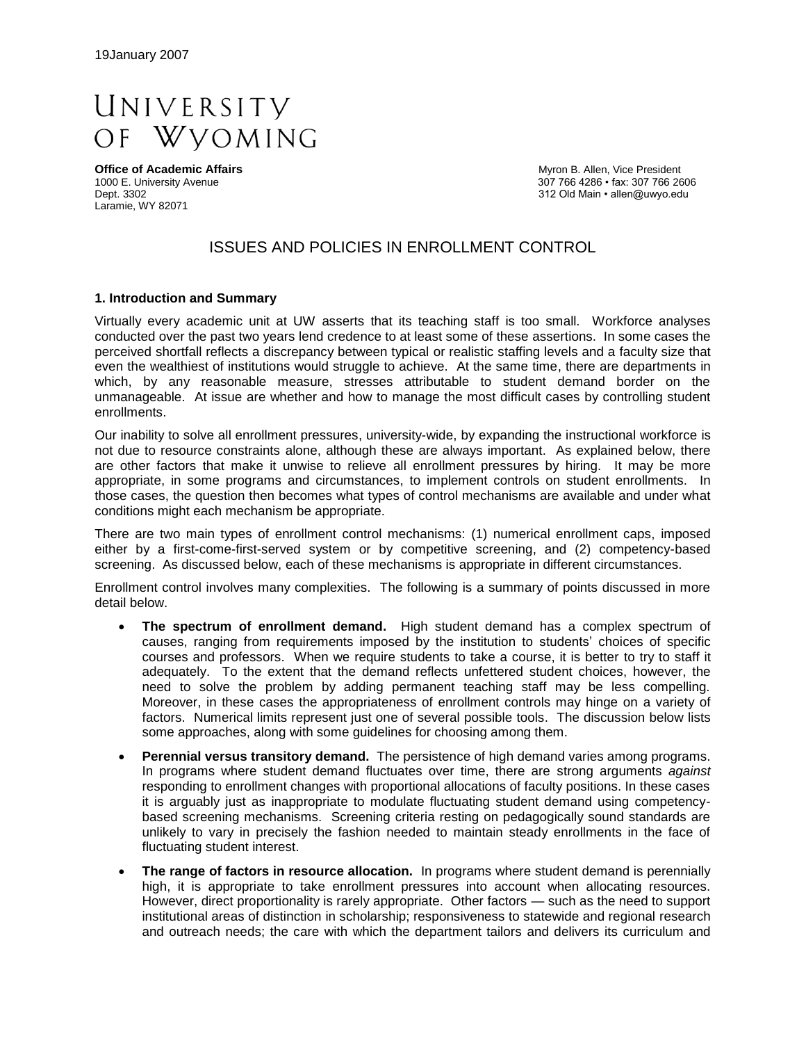

Laramie, WY 82071

**Office of Academic Affairs Myron B. Allen, Vice President Myron B. Allen, Vice President**<br>
1000 E. University Avenue **Access 1000 E.** University Avenue 1000 E. University Avenue 307 766 4286 • fax: 307 766 2606<br>Dept. 3302 312 Old Main • allen@uwyo.edu 312 Old Main • allen@uwyo.edu

# ISSUES AND POLICIES IN ENROLLMENT CONTROL

#### **1. Introduction and Summary**

Virtually every academic unit at UW asserts that its teaching staff is too small. Workforce analyses conducted over the past two years lend credence to at least some of these assertions. In some cases the perceived shortfall reflects a discrepancy between typical or realistic staffing levels and a faculty size that even the wealthiest of institutions would struggle to achieve. At the same time, there are departments in which, by any reasonable measure, stresses attributable to student demand border on the unmanageable. At issue are whether and how to manage the most difficult cases by controlling student enrollments.

Our inability to solve all enrollment pressures, university-wide, by expanding the instructional workforce is not due to resource constraints alone, although these are always important. As explained below, there are other factors that make it unwise to relieve all enrollment pressures by hiring. It may be more appropriate, in some programs and circumstances, to implement controls on student enrollments. In those cases, the question then becomes what types of control mechanisms are available and under what conditions might each mechanism be appropriate.

There are two main types of enrollment control mechanisms: (1) numerical enrollment caps, imposed either by a first-come-first-served system or by competitive screening, and (2) competency-based screening. As discussed below, each of these mechanisms is appropriate in different circumstances.

Enrollment control involves many complexities. The following is a summary of points discussed in more detail below.

- **The spectrum of enrollment demand.** High student demand has a complex spectrum of causes, ranging from requirements imposed by the institution to students' choices of specific courses and professors. When we require students to take a course, it is better to try to staff it adequately. To the extent that the demand reflects unfettered student choices, however, the need to solve the problem by adding permanent teaching staff may be less compelling. Moreover, in these cases the appropriateness of enrollment controls may hinge on a variety of factors. Numerical limits represent just one of several possible tools. The discussion below lists some approaches, along with some guidelines for choosing among them.
- **Perennial versus transitory demand.** The persistence of high demand varies among programs. In programs where student demand fluctuates over time, there are strong arguments *against* responding to enrollment changes with proportional allocations of faculty positions. In these cases it is arguably just as inappropriate to modulate fluctuating student demand using competencybased screening mechanisms. Screening criteria resting on pedagogically sound standards are unlikely to vary in precisely the fashion needed to maintain steady enrollments in the face of fluctuating student interest.
- **The range of factors in resource allocation.** In programs where student demand is perennially high, it is appropriate to take enrollment pressures into account when allocating resources. However, direct proportionality is rarely appropriate. Other factors — such as the need to support institutional areas of distinction in scholarship; responsiveness to statewide and regional research and outreach needs; the care with which the department tailors and delivers its curriculum and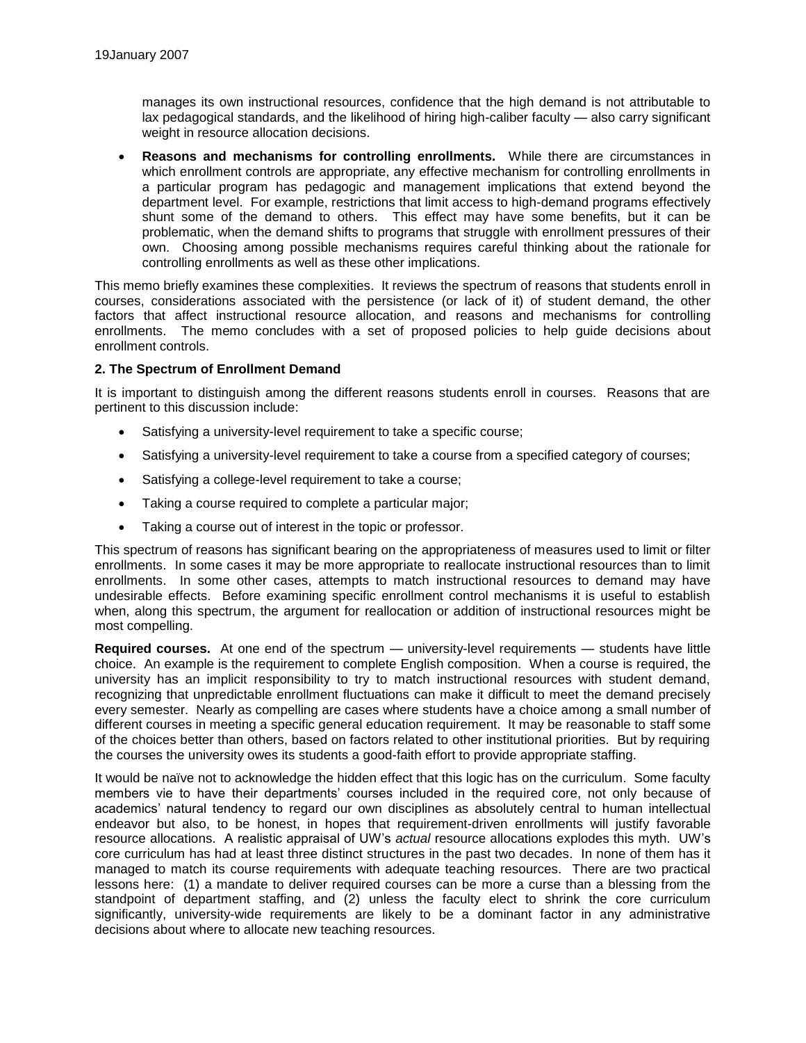manages its own instructional resources, confidence that the high demand is not attributable to lax pedagogical standards, and the likelihood of hiring high-caliber faculty — also carry significant weight in resource allocation decisions.

 **Reasons and mechanisms for controlling enrollments.** While there are circumstances in which enrollment controls are appropriate, any effective mechanism for controlling enrollments in a particular program has pedagogic and management implications that extend beyond the department level. For example, restrictions that limit access to high-demand programs effectively shunt some of the demand to others. This effect may have some benefits, but it can be problematic, when the demand shifts to programs that struggle with enrollment pressures of their own. Choosing among possible mechanisms requires careful thinking about the rationale for controlling enrollments as well as these other implications.

This memo briefly examines these complexities. It reviews the spectrum of reasons that students enroll in courses, considerations associated with the persistence (or lack of it) of student demand, the other factors that affect instructional resource allocation, and reasons and mechanisms for controlling enrollments. The memo concludes with a set of proposed policies to help guide decisions about enrollment controls.

### **2. The Spectrum of Enrollment Demand**

It is important to distinguish among the different reasons students enroll in courses. Reasons that are pertinent to this discussion include:

- Satisfying a university-level requirement to take a specific course;
- Satisfying a university-level requirement to take a course from a specified category of courses;
- Satisfying a college-level requirement to take a course;
- Taking a course required to complete a particular major;
- Taking a course out of interest in the topic or professor.

This spectrum of reasons has significant bearing on the appropriateness of measures used to limit or filter enrollments. In some cases it may be more appropriate to reallocate instructional resources than to limit enrollments. In some other cases, attempts to match instructional resources to demand may have undesirable effects. Before examining specific enrollment control mechanisms it is useful to establish when, along this spectrum, the argument for reallocation or addition of instructional resources might be most compelling.

**Required courses.** At one end of the spectrum — university-level requirements — students have little choice. An example is the requirement to complete English composition. When a course is required, the university has an implicit responsibility to try to match instructional resources with student demand, recognizing that unpredictable enrollment fluctuations can make it difficult to meet the demand precisely every semester. Nearly as compelling are cases where students have a choice among a small number of different courses in meeting a specific general education requirement. It may be reasonable to staff some of the choices better than others, based on factors related to other institutional priorities. But by requiring the courses the university owes its students a good-faith effort to provide appropriate staffing.

It would be naïve not to acknowledge the hidden effect that this logic has on the curriculum. Some faculty members vie to have their departments' courses included in the required core, not only because of academics' natural tendency to regard our own disciplines as absolutely central to human intellectual endeavor but also, to be honest, in hopes that requirement-driven enrollments will justify favorable resource allocations. A realistic appraisal of UW's *actual* resource allocations explodes this myth. UW's core curriculum has had at least three distinct structures in the past two decades. In none of them has it managed to match its course requirements with adequate teaching resources. There are two practical lessons here: (1) a mandate to deliver required courses can be more a curse than a blessing from the standpoint of department staffing, and (2) unless the faculty elect to shrink the core curriculum significantly, university-wide requirements are likely to be a dominant factor in any administrative decisions about where to allocate new teaching resources.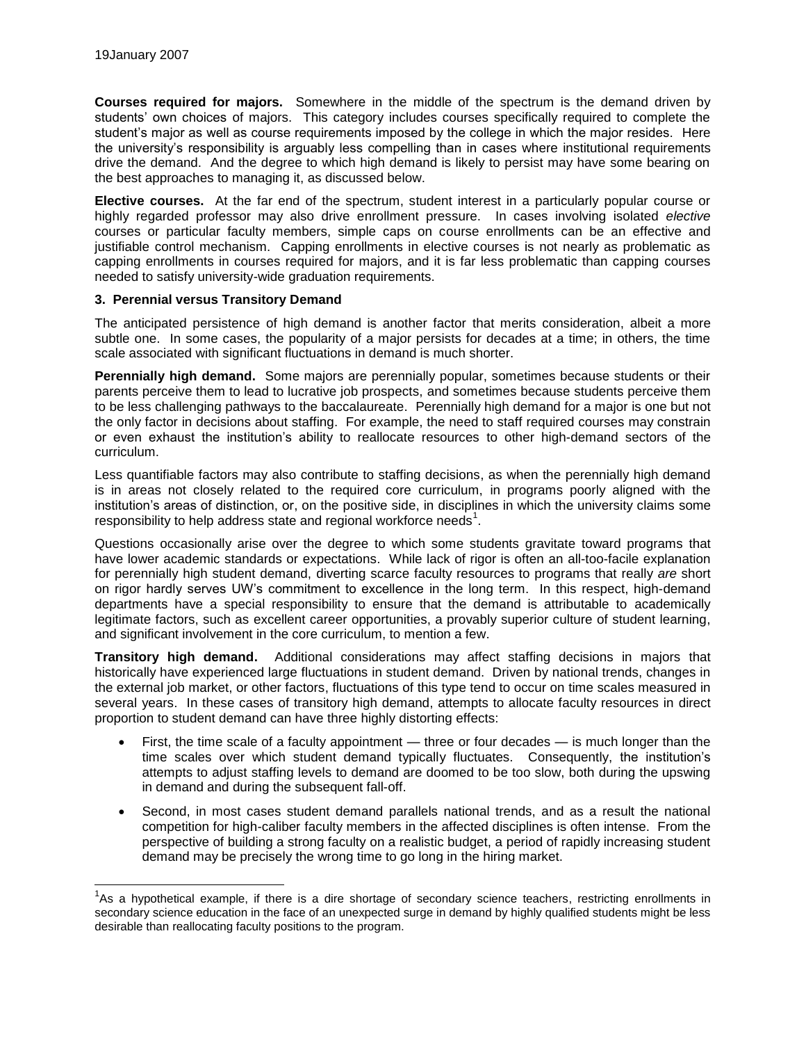l

**Courses required for majors.** Somewhere in the middle of the spectrum is the demand driven by students' own choices of majors. This category includes courses specifically required to complete the student's major as well as course requirements imposed by the college in which the major resides. Here the university's responsibility is arguably less compelling than in cases where institutional requirements drive the demand. And the degree to which high demand is likely to persist may have some bearing on the best approaches to managing it, as discussed below.

**Elective courses.** At the far end of the spectrum, student interest in a particularly popular course or highly regarded professor may also drive enrollment pressure. In cases involving isolated *elective*  courses or particular faculty members, simple caps on course enrollments can be an effective and justifiable control mechanism. Capping enrollments in elective courses is not nearly as problematic as capping enrollments in courses required for majors, and it is far less problematic than capping courses needed to satisfy university-wide graduation requirements.

### **3. Perennial versus Transitory Demand**

The anticipated persistence of high demand is another factor that merits consideration, albeit a more subtle one. In some cases, the popularity of a major persists for decades at a time; in others, the time scale associated with significant fluctuations in demand is much shorter.

**Perennially high demand.** Some majors are perennially popular, sometimes because students or their parents perceive them to lead to lucrative job prospects, and sometimes because students perceive them to be less challenging pathways to the baccalaureate. Perennially high demand for a major is one but not the only factor in decisions about staffing. For example, the need to staff required courses may constrain or even exhaust the institution's ability to reallocate resources to other high-demand sectors of the curriculum.

Less quantifiable factors may also contribute to staffing decisions, as when the perennially high demand is in areas not closely related to the required core curriculum, in programs poorly aligned with the institution's areas of distinction, or, on the positive side, in disciplines in which the university claims some responsibility to help address state and regional workforce needs<sup>1</sup>.

Questions occasionally arise over the degree to which some students gravitate toward programs that have lower academic standards or expectations. While lack of rigor is often an all-too-facile explanation for perennially high student demand, diverting scarce faculty resources to programs that really *are* short on rigor hardly serves UW's commitment to excellence in the long term. In this respect, high-demand departments have a special responsibility to ensure that the demand is attributable to academically legitimate factors, such as excellent career opportunities, a provably superior culture of student learning, and significant involvement in the core curriculum, to mention a few.

**Transitory high demand.** Additional considerations may affect staffing decisions in majors that historically have experienced large fluctuations in student demand. Driven by national trends, changes in the external job market, or other factors, fluctuations of this type tend to occur on time scales measured in several years. In these cases of transitory high demand, attempts to allocate faculty resources in direct proportion to student demand can have three highly distorting effects:

- First, the time scale of a faculty appointment three or four decades is much longer than the time scales over which student demand typically fluctuates. Consequently, the institution's attempts to adjust staffing levels to demand are doomed to be too slow, both during the upswing in demand and during the subsequent fall-off.
- Second, in most cases student demand parallels national trends, and as a result the national competition for high-caliber faculty members in the affected disciplines is often intense. From the perspective of building a strong faculty on a realistic budget, a period of rapidly increasing student demand may be precisely the wrong time to go long in the hiring market.

 $1/3$ s a hypothetical example, if there is a dire shortage of secondary science teachers, restricting enrollments in secondary science education in the face of an unexpected surge in demand by highly qualified students might be less desirable than reallocating faculty positions to the program.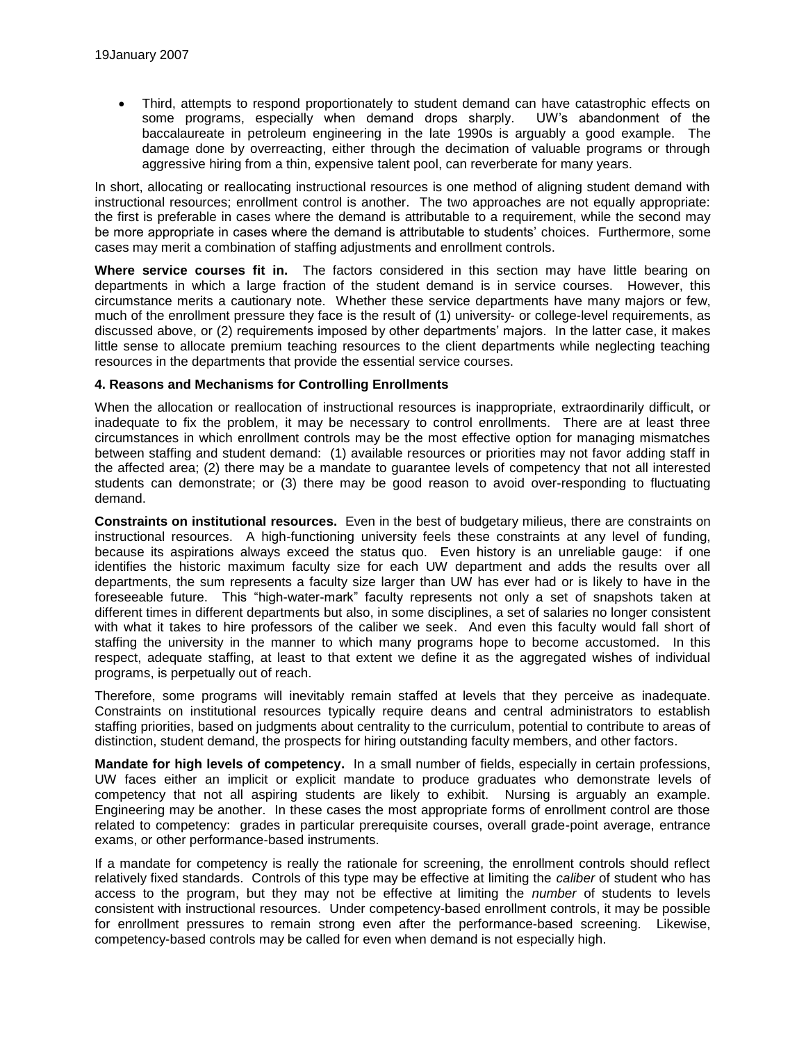Third, attempts to respond proportionately to student demand can have catastrophic effects on some programs, especially when demand drops sharply. UW's abandonment of the baccalaureate in petroleum engineering in the late 1990s is arguably a good example. The damage done by overreacting, either through the decimation of valuable programs or through aggressive hiring from a thin, expensive talent pool, can reverberate for many years.

In short, allocating or reallocating instructional resources is one method of aligning student demand with instructional resources; enrollment control is another. The two approaches are not equally appropriate: the first is preferable in cases where the demand is attributable to a requirement, while the second may be more appropriate in cases where the demand is attributable to students' choices. Furthermore, some cases may merit a combination of staffing adjustments and enrollment controls.

**Where service courses fit in.** The factors considered in this section may have little bearing on departments in which a large fraction of the student demand is in service courses. However, this circumstance merits a cautionary note. Whether these service departments have many majors or few, much of the enrollment pressure they face is the result of (1) university- or college-level requirements, as discussed above, or (2) requirements imposed by other departments' majors. In the latter case, it makes little sense to allocate premium teaching resources to the client departments while neglecting teaching resources in the departments that provide the essential service courses.

### **4. Reasons and Mechanisms for Controlling Enrollments**

When the allocation or reallocation of instructional resources is inappropriate, extraordinarily difficult, or inadequate to fix the problem, it may be necessary to control enrollments. There are at least three circumstances in which enrollment controls may be the most effective option for managing mismatches between staffing and student demand: (1) available resources or priorities may not favor adding staff in the affected area; (2) there may be a mandate to guarantee levels of competency that not all interested students can demonstrate; or (3) there may be good reason to avoid over-responding to fluctuating demand.

**Constraints on institutional resources.** Even in the best of budgetary milieus, there are constraints on instructional resources. A high-functioning university feels these constraints at any level of funding, because its aspirations always exceed the status quo. Even history is an unreliable gauge: if one identifies the historic maximum faculty size for each UW department and adds the results over all departments, the sum represents a faculty size larger than UW has ever had or is likely to have in the foreseeable future. This "high-water-mark" faculty represents not only a set of snapshots taken at different times in different departments but also, in some disciplines, a set of salaries no longer consistent with what it takes to hire professors of the caliber we seek. And even this faculty would fall short of staffing the university in the manner to which many programs hope to become accustomed. In this respect, adequate staffing, at least to that extent we define it as the aggregated wishes of individual programs, is perpetually out of reach.

Therefore, some programs will inevitably remain staffed at levels that they perceive as inadequate. Constraints on institutional resources typically require deans and central administrators to establish staffing priorities, based on judgments about centrality to the curriculum, potential to contribute to areas of distinction, student demand, the prospects for hiring outstanding faculty members, and other factors.

**Mandate for high levels of competency.** In a small number of fields, especially in certain professions, UW faces either an implicit or explicit mandate to produce graduates who demonstrate levels of competency that not all aspiring students are likely to exhibit. Nursing is arguably an example. Engineering may be another. In these cases the most appropriate forms of enrollment control are those related to competency: grades in particular prerequisite courses, overall grade-point average, entrance exams, or other performance-based instruments.

If a mandate for competency is really the rationale for screening, the enrollment controls should reflect relatively fixed standards. Controls of this type may be effective at limiting the *caliber* of student who has access to the program, but they may not be effective at limiting the *number* of students to levels consistent with instructional resources. Under competency-based enrollment controls, it may be possible for enrollment pressures to remain strong even after the performance-based screening. Likewise, competency-based controls may be called for even when demand is not especially high.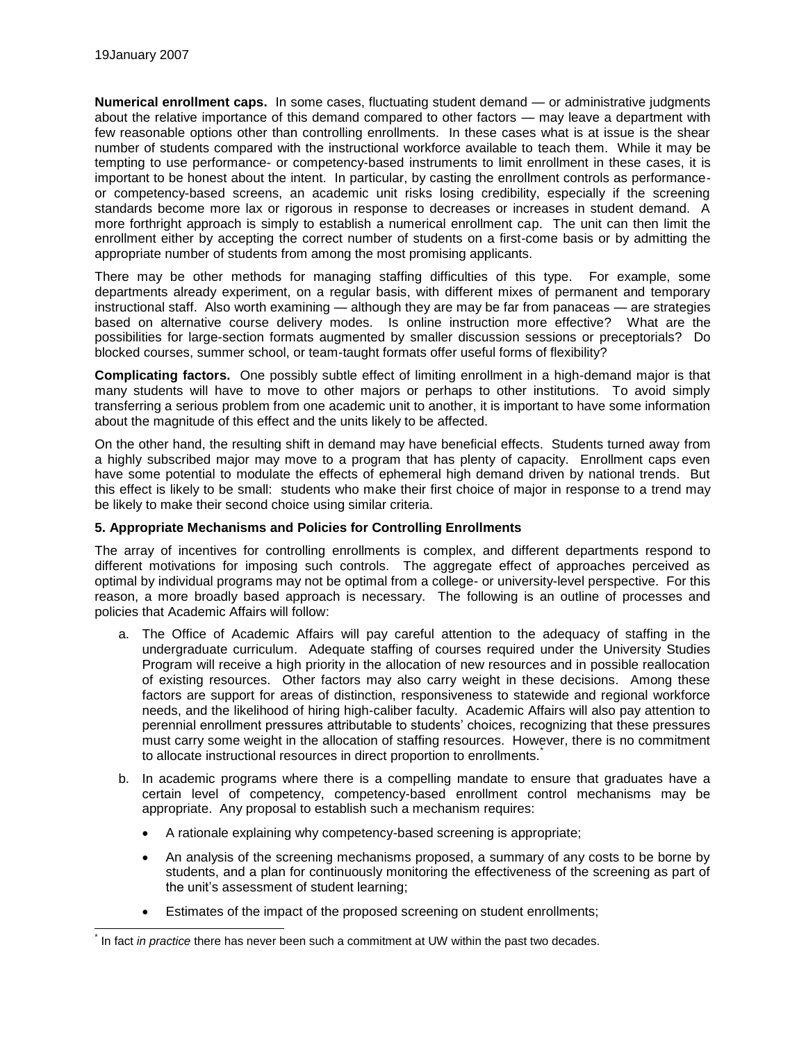**Numerical enrollment caps.** In some cases, fluctuating student demand — or administrative judgments about the relative importance of this demand compared to other factors — may leave a department with few reasonable options other than controlling enrollments. In these cases what is at issue is the shear number of students compared with the instructional workforce available to teach them. While it may be tempting to use performance- or competency-based instruments to limit enrollment in these cases, it is important to be honest about the intent. In particular, by casting the enrollment controls as performanceor competency-based screens, an academic unit risks losing credibility, especially if the screening standards become more lax or rigorous in response to decreases or increases in student demand. A more forthright approach is simply to establish a numerical enrollment cap. The unit can then limit the enrollment either by accepting the correct number of students on a first-come basis or by admitting the appropriate number of students from among the most promising applicants.

There may be other methods for managing staffing difficulties of this type. For example, some departments already experiment, on a regular basis, with different mixes of permanent and temporary instructional staff. Also worth examining — although they are may be far from panaceas — are strategies based on alternative course delivery modes. Is online instruction more effective? What are the possibilities for large-section formats augmented by smaller discussion sessions or preceptorials? Do blocked courses, summer school, or team-taught formats offer useful forms of flexibility?

**Complicating factors.** One possibly subtle effect of limiting enrollment in a high-demand major is that many students will have to move to other majors or perhaps to other institutions. To avoid simply transferring a serious problem from one academic unit to another, it is important to have some information about the magnitude of this effect and the units likely to be affected.

On the other hand, the resulting shift in demand may have beneficial effects. Students turned away from a highly subscribed major may move to a program that has plenty of capacity. Enrollment caps even have some potential to modulate the effects of ephemeral high demand driven by national trends. But this effect is likely to be small: students who make their first choice of major in response to a trend may be likely to make their second choice using similar criteria.

## **5. Appropriate Mechanisms and Policies for Controlling Enrollments**

The array of incentives for controlling enrollments is complex, and different departments respond to different motivations for imposing such controls. The aggregate effect of approaches perceived as optimal by individual programs may not be optimal from a college- or university-level perspective. For this reason, a more broadly based approach is necessary. The following is an outline of processes and policies that Academic Affairs will follow:

- a. The Office of Academic Affairs will pay careful attention to the adequacy of staffing in the undergraduate curriculum. Adequate staffing of courses required under the University Studies Program will receive a high priority in the allocation of new resources and in possible reallocation of existing resources. Other factors may also carry weight in these decisions. Among these factors are support for areas of distinction, responsiveness to statewide and regional workforce needs, and the likelihood of hiring high-caliber faculty. Academic Affairs will also pay attention to perennial enrollment pressures attributable to students' choices, recognizing that these pressures must carry some weight in the allocation of staffing resources. However, there is no commitment to allocate instructional resources in direct proportion to enrollments.
- b. In academic programs where there is a compelling mandate to ensure that graduates have a certain level of competency, competency-based enrollment control mechanisms may be appropriate. Any proposal to establish such a mechanism requires:
	- A rationale explaining why competency-based screening is appropriate;
	- An analysis of the screening mechanisms proposed, a summary of any costs to be borne by students, and a plan for continuously monitoring the effectiveness of the screening as part of the unit's assessment of student learning;
	- Estimates of the impact of the proposed screening on student enrollments;

l \* In fact *in practice* there has never been such a commitment at UW within the past two decades.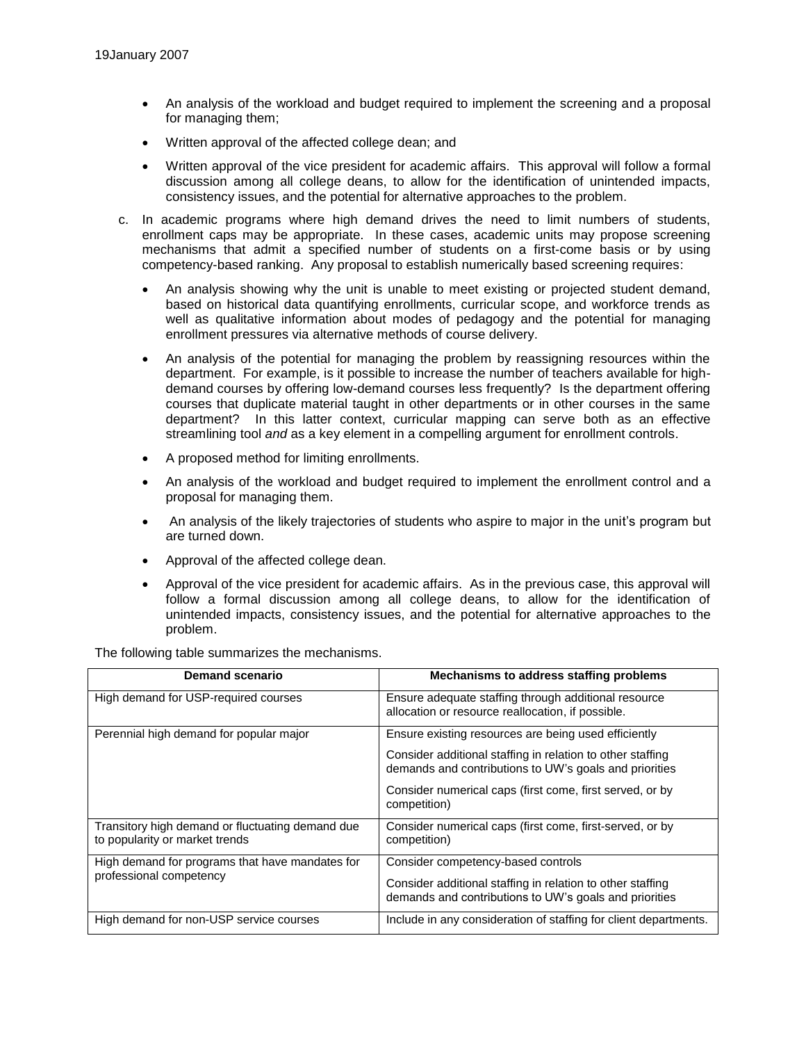- An analysis of the workload and budget required to implement the screening and a proposal for managing them;
- Written approval of the affected college dean; and
- Written approval of the vice president for academic affairs. This approval will follow a formal discussion among all college deans, to allow for the identification of unintended impacts, consistency issues, and the potential for alternative approaches to the problem.
- c. In academic programs where high demand drives the need to limit numbers of students, enrollment caps may be appropriate. In these cases, academic units may propose screening mechanisms that admit a specified number of students on a first-come basis or by using competency-based ranking. Any proposal to establish numerically based screening requires:
	- An analysis showing why the unit is unable to meet existing or projected student demand, based on historical data quantifying enrollments, curricular scope, and workforce trends as well as qualitative information about modes of pedagogy and the potential for managing enrollment pressures via alternative methods of course delivery.
	- An analysis of the potential for managing the problem by reassigning resources within the department. For example, is it possible to increase the number of teachers available for highdemand courses by offering low-demand courses less frequently? Is the department offering courses that duplicate material taught in other departments or in other courses in the same department? In this latter context, curricular mapping can serve both as an effective streamlining tool *and* as a key element in a compelling argument for enrollment controls.
	- A proposed method for limiting enrollments.
	- An analysis of the workload and budget required to implement the enrollment control and a proposal for managing them.
	- An analysis of the likely trajectories of students who aspire to major in the unit's program but are turned down.
	- Approval of the affected college dean.
	- Approval of the vice president for academic affairs. As in the previous case, this approval will follow a formal discussion among all college deans, to allow for the identification of unintended impacts, consistency issues, and the potential for alternative approaches to the problem.

The following table summarizes the mechanisms.

| Demand scenario                                                                    | Mechanisms to address staffing problems                                                                                                                                                                                                                  |
|------------------------------------------------------------------------------------|----------------------------------------------------------------------------------------------------------------------------------------------------------------------------------------------------------------------------------------------------------|
| High demand for USP-required courses                                               | Ensure adequate staffing through additional resource<br>allocation or resource reallocation, if possible.                                                                                                                                                |
| Perennial high demand for popular major                                            | Ensure existing resources are being used efficiently<br>Consider additional staffing in relation to other staffing<br>demands and contributions to UW's goals and priorities<br>Consider numerical caps (first come, first served, or by<br>competition) |
| Transitory high demand or fluctuating demand due<br>to popularity or market trends | Consider numerical caps (first come, first-served, or by<br>competition)                                                                                                                                                                                 |
| High demand for programs that have mandates for<br>professional competency         | Consider competency-based controls<br>Consider additional staffing in relation to other staffing<br>demands and contributions to UW's goals and priorities                                                                                               |
| High demand for non-USP service courses                                            | Include in any consideration of staffing for client departments.                                                                                                                                                                                         |